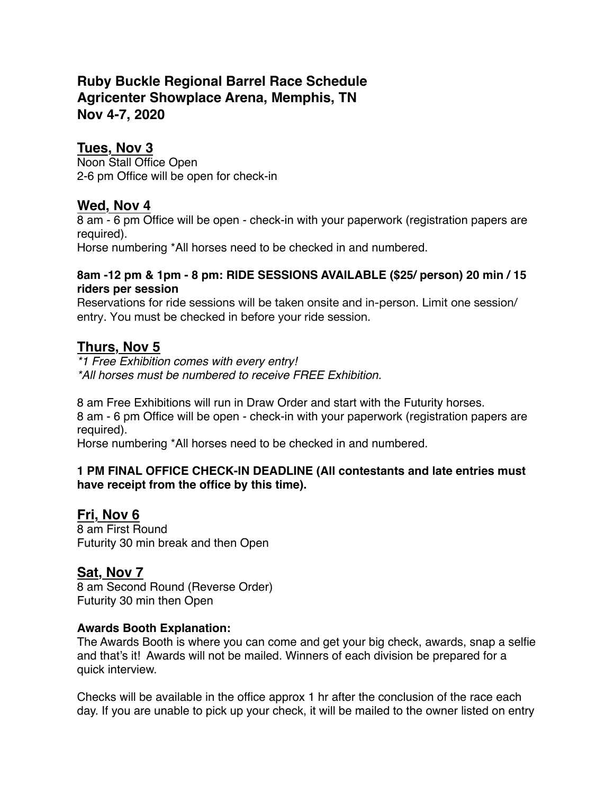# **Ruby Buckle Regional Barrel Race Schedule Agricenter Showplace Arena, Memphis, TN Nov 4-7, 2020**

### **Tues, Nov 3**

Noon Stall Office Open 2-6 pm Office will be open for check-in

### **Wed, Nov 4**

8 am - 6 pm Office will be open - check-in with your paperwork (registration papers are required).

Horse numbering \*All horses need to be checked in and numbered.

#### **8am -12 pm & 1pm - 8 pm: RIDE SESSIONS AVAILABLE (\$25/ person) 20 min / 15 riders per session**

Reservations for ride sessions will be taken onsite and in-person. Limit one session/ entry. You must be checked in before your ride session.

### **Thurs, Nov 5**

*\*1 Free Exhibition comes with every entry! \*All horses must be numbered to receive FREE Exhibition.*

8 am Free Exhibitions will run in Draw Order and start with the Futurity horses. 8 am - 6 pm Office will be open - check-in with your paperwork (registration papers are required).

Horse numbering \*All horses need to be checked in and numbered.

#### **1 PM FINAL OFFICE CHECK-IN DEADLINE (All contestants and late entries must have receipt from the office by this time).**

# **Fri, Nov 6**

8 am First Round Futurity 30 min break and then Open

# **Sat, Nov 7**

8 am Second Round (Reverse Order) Futurity 30 min then Open

#### **Awards Booth Explanation:**

The Awards Booth is where you can come and get your big check, awards, snap a selfie and that's it! Awards will not be mailed. Winners of each division be prepared for a quick interview.

Checks will be available in the office approx 1 hr after the conclusion of the race each day. If you are unable to pick up your check, it will be mailed to the owner listed on entry